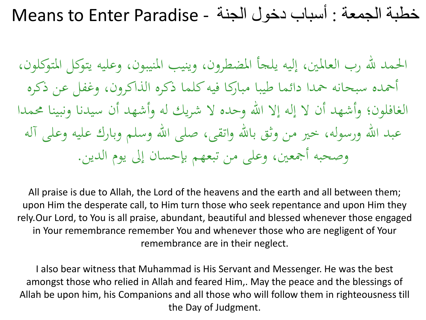احلمد هلل رب العاملني، إليو يلجأ املضطرون، وينيب املنيبون، وعليو يتوكل املتوكلون، أمحده سبحانو محدا دائما طيبا مباركا فيو كلما ذكره الذاكرون، وغفل عن ذكره الغافلون؛ وأشهد أن لا إله إلا الله وحده لا شريك له وأشهد أن سيدنا ونبينا محمدا عبد الله ورسوله، خير من وثق بالله واتقى، صلى الله وسلم وبارك عليه وعلى آله وصحبه أجمعين، وعلى من تبعهم بإحسان إلى يوم الدين.

All praise is due to Allah, the Lord of the heavens and the earth and all between them; upon Him the desperate call, to Him turn those who seek repentance and upon Him they rely.Our Lord, to You is all praise, abundant, beautiful and blessed whenever those engaged in Your remembrance remember You and whenever those who are negligent of Your remembrance are in their neglect.

I also bear witness that Muhammad is His Servant and Messenger. He was the best amongst those who relied in Allah and feared Him,. May the peace and the blessings of Allah be upon him, his Companions and all those who will follow them in righteousness till the Day of Judgment.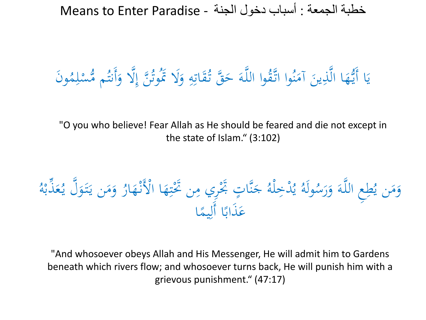وَن ُ م ِ ل ْ مس ُّ م ُ أَنت ال و َِّ َ ن إ َّ ُ وت ُ َال ََت َ و ِ و ِ ات َ ُق ق تـ َّ َ َ ح ـو َّ وا الل ُ َّـق وا ات ُ ن َ آم َ ين ذِ َّ ا ال َ ه ُّ ا أَيـ َ ي

"O you who believe! Fear Allah as He should be feared and die not except in the state of Islam." (3:102)

ُ و ْ ذب ِّ َ ع ُ ل يـ َّ َ َو تـ َ ن يـ َ م َ و ُ ار َ ه ْ ْْلَنـ ا ا َ ه ِ ت ن ََتْ ِ ِري م ت ََتْ ٍ َّا ن َ ج ُ لو ْ دخِ ْ ُ ي ُ ولَو ُ س َ ر َ و َ ـو َّ ِع الل طِ ُ ن ي َ م َ و ا ً يم ِ ا أَل ً َذاب َ ع

"And whosoever obeys Allah and His Messenger, He will admit him to Gardens beneath which rivers flow; and whosoever turns back, He will punish him with a grievous punishment." (47:17)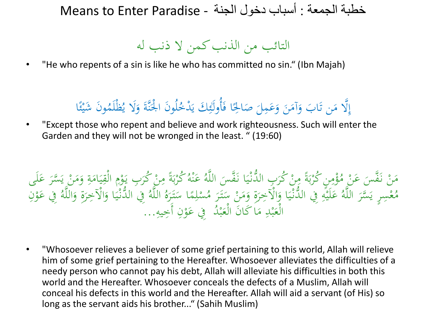التائب من الذنب كمن ال ذنب لو

• "He who repents of a sin is like he who has committed no sin." (Ibn Majah)

# إِلَّا مَن تَابَ وَآمَنَ وَعَمِلَ صَالِحًا فَأُولَئِكَ يَدْخُلُونَ الْجَنَّةَ وَلَا يُظْلَمُونَ شَيْئًا<br>these who werent and believe and weak intervaluation ء<br>م ∕م<br>مر ْ َ يا<br>ـ ِ َ ئ<br>.  $\ddot{\phantom{0}}$ َ  $\ddot{\phantom{0}}$  $\mathbf{A}$ َ ت<br>ت **م**<br>. إ

• "Except those who repent and believe and work righteousness. Such will enter the Garden and they will not be wronged in the least. " (19:60)

و<br>. ؤْمِنِ كُرْبَةً مِنْ كُرَبِ الدُّنْيَا نَفَّسَ اللَّهُ عَنْهُ كُرْبَةً مِنْ كُرَبِ يَوْمِ الْقِيَامَةِ وَا<br>كَلَفَّ مِنْ الْقَوْمَةِ وَالْمَسْنَةِ وَالْمَسْنَةِ وَالْمَسْنَةِ وَالْمَسْنَةِ وَالْقَوْمَةِ وَالْقَوْمَةِ و <u>بة</u>  $\mathcal{L}$  $\frac{1}{2}$ ي  $\ddot{a}$  $\overline{\phantom{a}}$ **م**<br>: یا:<br>رو ر<br>. د<br>المقام  $\mathbf{A}$ ة<br>م ب<br>ر ب ر<br>ر ه<br>نم ء<br>،  $\ddot{\phantom{0}}$ ز<br>ا  $\ddot{\ddot{\cdot}}$ ي ز<br>ا ر<br>ر ْ<br>وفيات  $\overline{\phantom{a}}$ ة<br>أ ِ<br>: ب ر<br>.  $\ddot{\cdot}$  $\mathbf{A}$ ة<br>م  $\mathcal{L}$ مَنْ نَفَّسَ عَنْ مُؤْمِنٍ كُرْبَةً مِنْ كُرَبِ الدَّنْيَا نَفَّسَ اللَّهُ عَنْهُ كُرْبَةً مِنْ كُرَبِ يَوْمِ الْقِيَامَةِ وَمَنْ يَسَّرَ عَلَى<br>وه مسجد اللَّه حَلَّقٌ مِن الْقَوْمِ الْمَوْمِ الْمَوْجَمِ عَدَ وَ حَمَدِهِ و  $\frac{1}{t}$ ً<br>ن ز<br>ا .<br>. م<br>و  $\frac{1}{t}$ َم<br>ِ ء<br>ر ر<br>. ي اللَّهُ فِي الدُّنْيَا وَالْآخِ َ  $\ddot{\ddot{\cdot}}$ ي ز<br>ا ُ لَّمْسِرٍ يَسَّرَ اللَّهُ عَلَيْهِ فِي الدُّنْيَا وَالْآخِرَةِ وَمَنْ سَتَرَ مُسْلِمًا سَتَرَهُ<br>مَّسِرٍ يَسَّرَ اللَّهُ عَلَيْهِ فِي الدُّنْيَا وَالْآخِرَةِ وَمَنْ سَتَرَ مُسْلِمًا سَتَرَهُ ر<br>.  $\overline{a}$ ِم<br>ر  $\overline{\mathbf{r}}$ ا<br>با ر<br>په ر<br>ر م<br>ا و<br>< ر<br>ر ہ<br>ا  $\ddot{\ddot{\cdot}}$ ي .<br>.<br>. .<br>|<br>|4 ا<br>أ ا<br>ا ر<br>(  $\overline{a}$ **م** مُعْسِرٍ يَسَّرَ اللَّهُ عَلَيْهِ فِي الدُّنْيَا وَالْآخِرَةِ وَمَنْ سَتَرَ مُسْلِمًا سَتَرَهُ اللَّهُ فِي الدُّنْيَا وَالْآخِرَةِ وَاللَّهُ فِي عَوْنِ<br>مُعْسِرٍ يَسَّرَ اللَّهُ عَلَيْهِ فِي الدُّنْيَا وَالْآخِرَةِ وَمَنْ ر<br>( **م**ر<br>ر **ک** َ ِ الْعَبْدِ مَا كَانَ الْعَبْدُ ۖ فِي عَوْنِ أَجِيهِ... **م**ر<br>ر **ک** ا<br>ا ه<br>به المعلم<br>المعلمات<br>المعلمات  $\mathcal{L}$ ا<br>ا ہ<br>بہ ا<br>ا

• "Whosoever relieves a believer of some grief pertaining to this world, Allah will relieve him of some grief pertaining to the Hereafter. Whosoever alleviates the difficulties of a needy person who cannot pay his debt, Allah will alleviate his difficulties in both this world and the Hereafter. Whosoever conceals the defects of a Muslim, Allah will conceal his defects in this world and the Hereafter. Allah will aid a servant (of His) so long as the servant aids his brother..." (Sahih Muslim)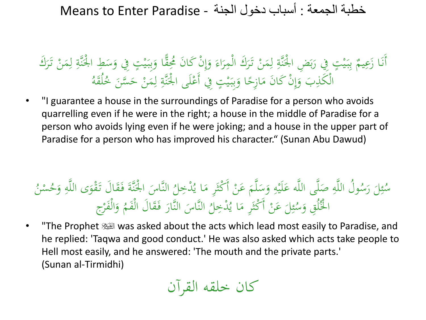#### <u>بة</u> بَيْتٍ فِي رَبَضِ الْجُنَّةِ لِمَنْ تَرَكَ الْمِرَاءَ وَإِنْ كَانَ مُحِقًّا وَبِبَيْتٍ فِي وَسَطِ الْجُنَّةِ<br>فَيَّةٍ وَسَطِ الْجُنَّةِ م<br>ہ َ  $\frac{1}{2}$ ا<br>ا ه<br>يا  $\ddot{\cdot}$ ب<br>ب َ  $\int$ إ َ  $\overline{\phantom{a}}$ ر<br>( ر<br>. ال<br>المسابق<br>المسابق  $\triangle$ ِ ل <u>بة</u> يا.<br>. ار ک  $\overline{\phantom{a}}$  $\frac{1}{2}$ ا<br>ا ه<br>يا  $\ddot{\cdot}$ ِ<br>ِبِ ب  $\mathfrak{g}$ أَنَا زَعِيمٌ بِبَيْتٍ فِي رَبَضِ الْجَنَّةِ لِمَنْ تَرَكَ الْمِرَاءَ وَإِنْ كَانَ مُحِقًّا وَبِبَيْتٍ فِي وَسَطِ الْجَنَّةِ لِمَنْ تَرَكَ .<br>.<br>. ِ ر<br>( ال<br>أ  $\triangle$ الْكَذِبَ وَإِنْ كَانَ مَازِحًا وَبِبَيْتٍ فِي أَعْلَى الْجَنَّةِ لِمَنْ حَسَّنَ خُلُقَهُ  $\triangle$ ِ ل <u>بة</u> **ک**  $\frac{1}{2}$ ا<br>ا ه<br>يو  $\ddot{\cdot}$ بِ<br>بِ َ ً  $\mathbf{A}$  $\int$ إ َ

• "I guarantee a house in the surroundings of Paradise for a person who avoids quarrelling even if he were in the right; a house in the middle of Paradise for a person who avoids lying even if he were joking; and a house in the upper part of Paradise for a person who has improved his character." (Sunan Abu Dawud)

### $\overline{4}$ يُدْخِلُ النَّاسَ الْجُنَّةَ فَقَالَ تَقْوَى اللَّهِ<br>مَسْتَفَسَّدَةِ فَقَالَ تَقْوَى اللَّهِ .<br>م ن<br>ن ً<br>ا ے<br>تا ولُ اللَّهِ صَلَّى اللَّه عَلَيْهِ وَسَلَّمَ عَنْ أَكْثَرِ مَا يُّ<br>وْمُ اللَّهِ صَلَّى اللَّه عَلَيْهِ وَسَلَّمَ عَنْ أَكْثَرِ مَا يُ  $\mathbf{A}$ شہر<br>م ال<br>ا ا ر<br>سا َ ِ ا<br>ا **ک** بد<br>وہ م<br>ا س ر ل  $\overline{\phantom{a}}$ ا<br>ا ِ<br>بِرِ ئم ا<br>ا سُئِلَ رَسُولُ اللَّهِ صَلَّى اللَّه عَلَيْهِ وَسَلَّمَ عَنْ أَكْثَرِ مَا يُدْخِلُ النَّاسَ الْجَنَّةَ فَقَالَ تَقْوَى اللَّهِ وَ َ ُ ن ُس ح **ب**ر<br>ا وَالْفَرْج َ النَّاسَ النَّارَ فَقَالَ الْفَمُّ .<br>م ر<br>ا ً<br>ا )<br>ا ل ْدخِ ُ لَ عَنْ أَكْثَرِ مَا يُ  $\mathbf{A}$ شہر<br>م ال<br>أ ً<br>ب ِ<br>په ئم م<br>ا الْخُلُقِ وَسُّ َ

• The Prophet  $\mathbb{N}$  was asked about the acts which lead most easily to Paradise, and he replied: 'Taqwa and good conduct.' He was also asked which acts take people to Hell most easily, and he answered: 'The mouth and the private parts.' (Sunan al-Tirmidhi)

كان خلقو القرآن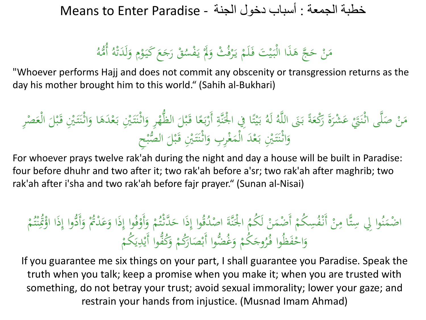## وڻو<br>اُهه أ قْ رَجَعَ كَيَوْمِ وَلَدَتْهُ ة<br>ت  $\overline{\phantom{a}}$ َ  $\overline{\phantom{a}}$ **و**  $\ddot{\phantom{0}}$ **P** ا<br>ا ْ مَنْ حَجَّ هَذَا الْبَيْتَ فَلَمْ يَرْفُثْ وَلَمْ يَفْسُهُ یا<br>۔ ا<br>ا َ ر<br>ا یا<br>۔ ْ َ ه<br>يا  $\ddot{\cdot}$ **م** َ  $\mathcal{L}$

"Whoever performs Hajj and does not commit any obscenity or transgression returns as the day his mother brought him to this world." (Sahih al-Bukhari)

َ بـ َ ْنيِ تـ َ اثْـن َ ِر و ْ ه ُّ الظ َ ْل ب َ ا قـ ً ع َ بـ ْ أَر ِ ة َّ نَ ا ِِف ا ْْل ً ت ْ ي َ بـ ُ لَو ُ و َّ الل َ ََن بـ ً ة َ ْكع َ َ ر ة َ َ ْشر ع ْ َ ََت ى اثْـن َّ ل َ ْ ص ن َ َ م ْد َ ْْ <sup>ع</sup> ِر الْع َ ْل ب َ قـ َ ْنيِ تـ َ اثْـن َ ا و َ ى ِح ْ ْب ال ُّ َ ْل ب َ قـ َ ْنيِ تـ َ اثْـن َ ِر ِب و ْ غ َ الْم َ د ْ ع َ بـ َ ْنيِ تـ َ اثْـن َ و

For whoever prays twelve rak'ah during the night and day a house will be built in Paradise: four before dhuhr and two after it; two rak'ah before a'sr; two rak'ah after maghrib; two rak'ah after i'sha and two rak'ah before fajr prayer." (Sunan al-Nisai)

## الْجَنَّةَ اصْدُقُوا إِذَا حَدَّثْتُمْ وَأَوْفُوا إِذَا وَعَدْتُمْ وَأَ<br>وَمَدَّةٌ الْمَدْتُوا إِذَا حَدَّثْتُمْ وَأَوْفُوا إِذَا وَعَدْتُمْ وَأَ َ َ  $\int$ **ہ**<br>ر و<br>ءَ ْ َ  $\int$ ا<br>ا ة<br>. م<br>و اضْمَنُوا لِي سِتًّا مِنْ أَنْفُسِكُمْ أَضْمَنْ لَكُمُ الْجَنَّةَ اصْدُقُوا إِذَا حَدَّتْتُمْ وَأَوْفُوا إِذَا وَعَدْتُمْ وَأَدُّوا إِذَا اؤْكُنْتُمْ .<br>و  $\triangle$ **ا** .<br>-<br>- $\overline{\phantom{a}}$ نة<br>مد و<br>م  $\triangle$  $\mathbf{r}$ ت **:** ه<br>نم ِ<br>ک  $\int$  $\mathbf{r}$ وجَكُمْ وَغُضُّوا أَبْصَارَكُمْ وَكُفُّوا أَيْدِيَكُمْ يا<br>. ي اباد<br>ا َ ْ  $\overline{\phantom{a}}$  $\ddot{\phantom{1}}$ َ ْ َ ر<br>ا وَاحْفَظُوا فُرُو **ٔ** َ

If you guarantee me six things on your part, I shall guarantee you Paradise. Speak the truth when you talk; keep a promise when you make it; when you are trusted with something, do not betray your trust; avoid sexual immorality; lower your gaze; and restrain your hands from injustice. (Musnad Imam Ahmad)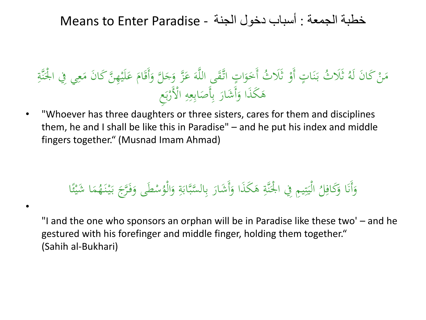## ا با<br>ا مَنْ كَانَ لَهُ ثَلَاثُ بَنَاتٍ أَوْ ثَلَاثُ أَخَوَاتٍ اتَّقَى اللَّهَ عَزَّ وَجَلَّ وَأَقَامَ عَلَيْهِنَّ كَانَ مَعِي فِي الْجَنَّةِ<br>فَعَنْ كَانَ لَهُ ثَلَاثُ بَنَاتٍ أَوْ ثَلَاثُ أَخَوَاتٍ اتَّقَى اللَّهَ عَزَّ وَجَلَّ و  $\mathcal{L}$ ِ  $\mathbf{A}$ ا<br>أ **ک** مُ َ َ **ک** َ ।<br>प ا و<br>. ا<br>ج **ہ**<br>ر ।<br>प  $\frac{1}{2}$ ن ب<br>. <u>ہے</u> ِ هَكَذَا وَأَشَارَ بِأَصَابِعِهِ الْأَرْبَعِ ِ ِ<br>ب  $\ddot{\phantom{0}}$ ِ<br>ب ب ر<br>ا َ **a** یا<br>ا ر کام ا <u>ا</u>

• "Whoever has three daughters or three sisters, cares for them and disciplines them, he and I shall be like this in Paradise" – and he put his index and middle fingers together." (Musnad Imam Ahmad)

#### وَأَنَا وَكَافِلُ الْيَتِيمِ فِي الْجَنَّةِ هَكُذَا وَأَشَارَ بِالسَّبَّابَةِ وَالْوُسْطَى وَفَرَّجَ بَيْنَهُمَا .<br>.<br>. َ  $\triangle$ ِسْطَى وَفَرَّجَ بَيْنَهُ ا<br>ا ب<br>.  $\tilde{\zeta}$ َ و<br>ر الْيَتِيمِ فِي الْجُنَّةِ هَكَذَا وَأَشَارَ بِالسَّبَّابَةِ وَالْوُ َ <u>بة</u> ب<br>. ِ<br>بِ ب ر<br>ا َ **a** <u>بة</u>  $\ddot{z}$ **تنبات**  $\ddot{\phantom{1}}$ <u>ا</u> وَكَافِلُ الْيَتِيمِ فِي الْجَنَّةِ هَكُذَا وَأَشَارَ بِالسَّبَّابَةِ وَالْوُسْطَى وَفَرَّجَ بَيْنَهُمَا شَيْئًا ِ َ ء<br>م ∕<br>مگ ْيُوْمِيْس

•

"I and the one who sponsors an orphan will be in Paradise like these two' – and he gestured with his forefinger and middle finger, holding them together." (Sahih al-Bukhari)